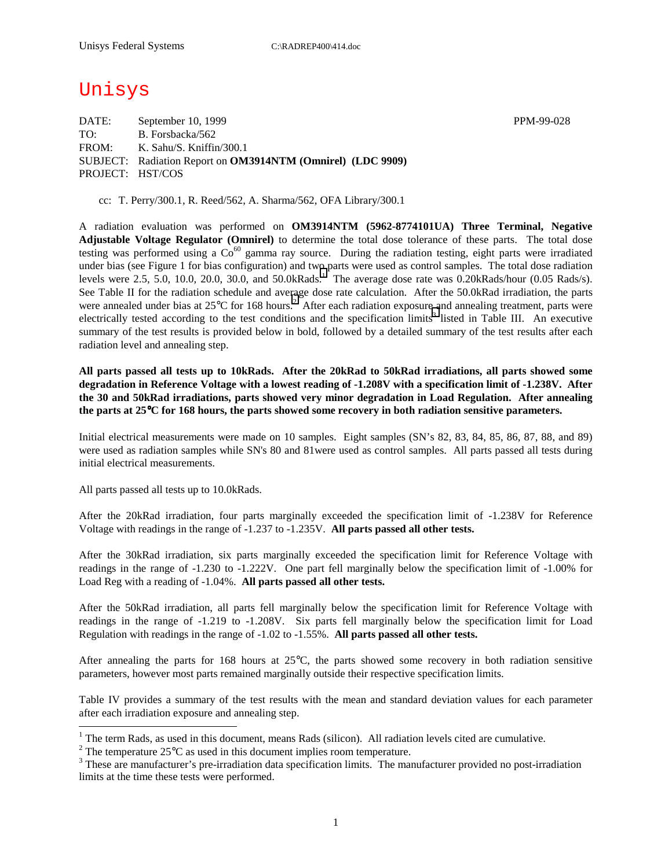# Unisys

DATE: September 10, 1999 PPM-99-028 TO: B. Forsbacka/562 FROM: K. Sahu/S. Kniffin/300.1 SUBJECT: Radiation Report on **OM3914NTM (Omnirel) (LDC 9909)** PROJECT: HST/COS

cc: T. Perry/300.1, R. Reed/562, A. Sharma/562, OFA Library/300.1

A radiation evaluation was performed on **OM3914NTM (5962-8774101UA) Three Terminal, Negative Adjustable Voltage Regulator (Omnirel)** to determine the total dose tolerance of these parts. The total dose testing was performed using a  $Co^{60}$  gamma ray source. During the radiation testing, eight parts were irradiated under bias (see Figure 1 for bias configuration) and two parts were used as control samples. The total dose radiation levels were 2.5, 5.0, 10.0, 20.0, 30.0, and 50.0kRads.<sup>1</sup> The average dose rate was 0.20kRads/hour (0.05 Rads/s). See Table II for the radiation schedule and average dose rate calculation. After the 50.0kRad irradiation, the parts were annealed under bias at  $25^{\circ}$ C for 168 hours.<sup>2</sup> After each radiation exposure and annealing treatment, parts were electrically tested according to the test conditions and the specification limits<sup>3</sup> listed in Table III. An executive summary of the test results is provided below in bold, followed by a detailed summary of the test results after each radiation level and annealing step.

**All parts passed all tests up to 10kRads. After the 20kRad to 50kRad irradiations, all parts showed some degradation in Reference Voltage with a lowest reading of -1.208V with a specification limit of -1.238V. After the 30 and 50kRad irradiations, parts showed very minor degradation in Load Regulation. After annealing the parts at 25**°**C for 168 hours, the parts showed some recovery in both radiation sensitive parameters.** 

Initial electrical measurements were made on 10 samples. Eight samples (SN's 82, 83, 84, 85, 86, 87, 88, and 89) were used as radiation samples while SN's 80 and 81were used as control samples. All parts passed all tests during initial electrical measurements.

All parts passed all tests up to 10.0kRads.

 $\overline{a}$ 

After the 20kRad irradiation, four parts marginally exceeded the specification limit of -1.238V for Reference Voltage with readings in the range of -1.237 to -1.235V. **All parts passed all other tests.**

After the 30kRad irradiation, six parts marginally exceeded the specification limit for Reference Voltage with readings in the range of -1.230 to -1.222V. One part fell marginally below the specification limit of -1.00% for Load Reg with a reading of -1.04%. **All parts passed all other tests.**

After the 50kRad irradiation, all parts fell marginally below the specification limit for Reference Voltage with readings in the range of -1.219 to -1.208V. Six parts fell marginally below the specification limit for Load Regulation with readings in the range of -1.02 to -1.55%. **All parts passed all other tests.**

After annealing the parts for 168 hours at 25°C, the parts showed some recovery in both radiation sensitive parameters, however most parts remained marginally outside their respective specification limits.

Table IV provides a summary of the test results with the mean and standard deviation values for each parameter after each irradiation exposure and annealing step.

<sup>&</sup>lt;sup>1</sup> The term Rads, as used in this document, means Rads (silicon). All radiation levels cited are cumulative.

<sup>&</sup>lt;sup>2</sup> The temperature 25 $^{\circ}$ C as used in this document implies room temperature.  $^3$  These are manufacturer's are irrediction date apositionism limits. The manufacturer's

<sup>&</sup>lt;sup>3</sup> These are manufacturer's pre-irradiation data specification limits. The manufacturer provided no post-irradiation limits at the time these tests were performed.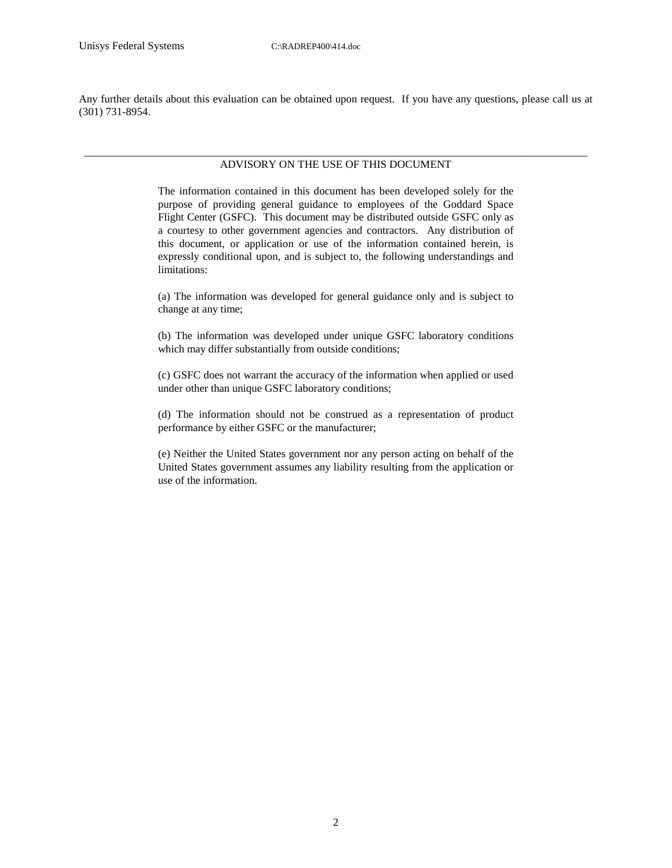Any further details about this evaluation can be obtained upon request. If you have any questions, please call us at (301) 731-8954.

#### \_\_\_\_\_\_\_\_\_\_\_\_\_\_\_\_\_\_\_\_\_\_\_\_\_\_\_\_\_\_\_\_\_\_\_\_\_\_\_\_\_\_\_\_\_\_\_\_\_\_\_\_\_\_\_\_\_\_\_\_\_\_\_\_\_\_\_\_\_\_\_\_\_\_\_\_\_\_\_\_\_\_\_\_\_\_\_\_\_\_\_ ADVISORY ON THE USE OF THIS DOCUMENT

The information contained in this document has been developed solely for the purpose of providing general guidance to employees of the Goddard Space Flight Center (GSFC). This document may be distributed outside GSFC only as a courtesy to other government agencies and contractors. Any distribution of this document, or application or use of the information contained herein, is expressly conditional upon, and is subject to, the following understandings and limitations:

(a) The information was developed for general guidance only and is subject to change at any time;

(b) The information was developed under unique GSFC laboratory conditions which may differ substantially from outside conditions;

(c) GSFC does not warrant the accuracy of the information when applied or used under other than unique GSFC laboratory conditions;

(d) The information should not be construed as a representation of product performance by either GSFC or the manufacturer;

(e) Neither the United States government nor any person acting on behalf of the United States government assumes any liability resulting from the application or use of the information.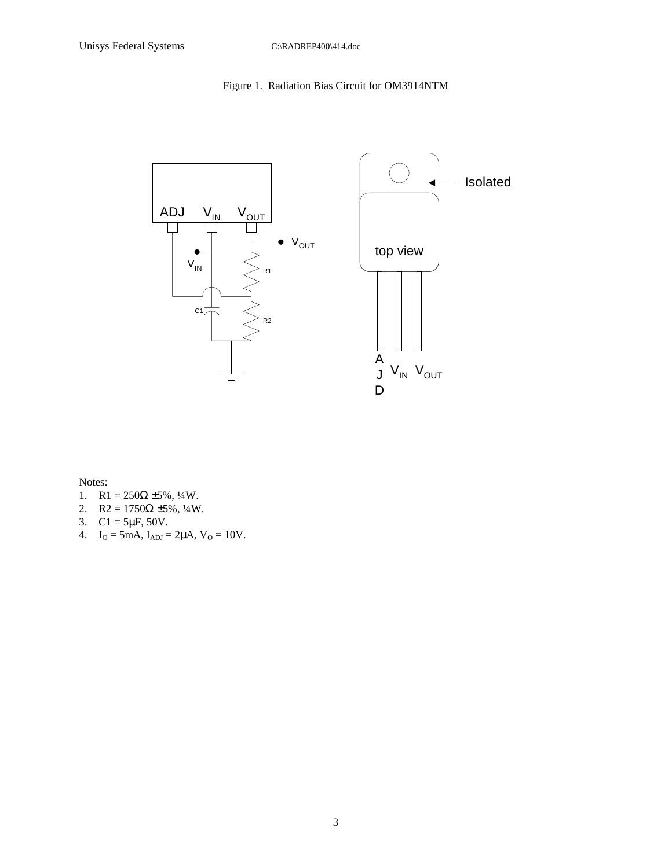### Figure 1. Radiation Bias Circuit for OM3914NTM



Notes:

- 1.  $R1 = 250\Omega \pm 5\%, \frac{1}{4}W$ .
- 2. R2 =  $1750\Omega \pm 5\%, \frac{1}{4}W$ .
- 3.  $Cl = 5\mu F, 50V.$
- 4.  $I_O = 5mA$ ,  $I_{ADJ} = 2\mu A$ ,  $V_O = 10V$ .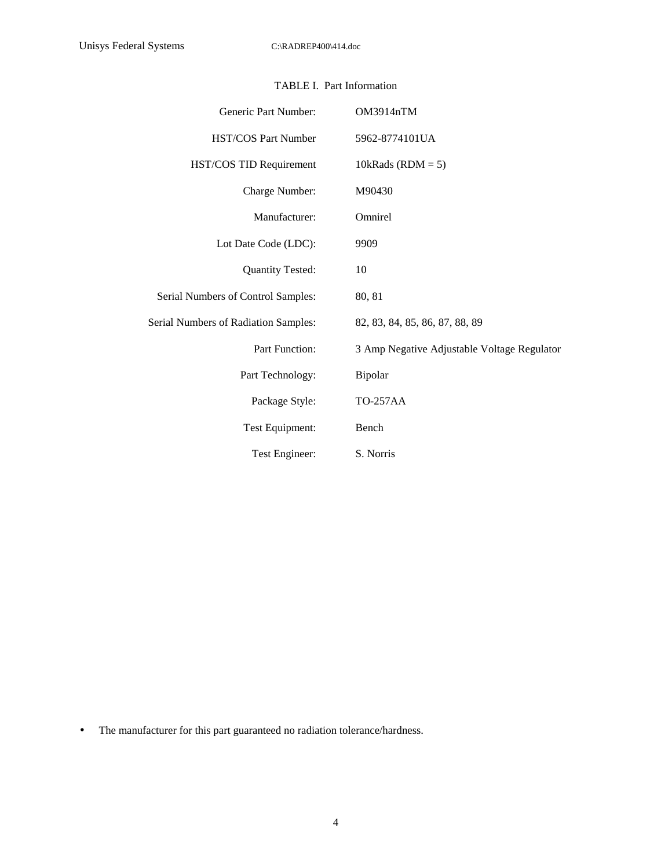| Generic Part Number:                 | OM3914nTM                                   |
|--------------------------------------|---------------------------------------------|
| HST/COS Part Number                  | 5962-8774101UA                              |
| HST/COS TID Requirement              | 10kRads ( $RDM = 5$ )                       |
| Charge Number:                       | M90430                                      |
| Manufacturer:                        | Omnirel                                     |
| Lot Date Code (LDC):                 | 9909                                        |
| <b>Quantity Tested:</b>              | 10                                          |
| Serial Numbers of Control Samples:   | 80, 81                                      |
| Serial Numbers of Radiation Samples: | 82, 83, 84, 85, 86, 87, 88, 89              |
| Part Function:                       | 3 Amp Negative Adjustable Voltage Regulator |
| Part Technology:                     | Bipolar                                     |
| Package Style:                       | <b>TO-257AA</b>                             |
| Test Equipment:                      | Bench                                       |
| Test Engineer:                       | S. Norris                                   |

### TABLE I. Part Information

• The manufacturer for this part guaranteed no radiation tolerance/hardness.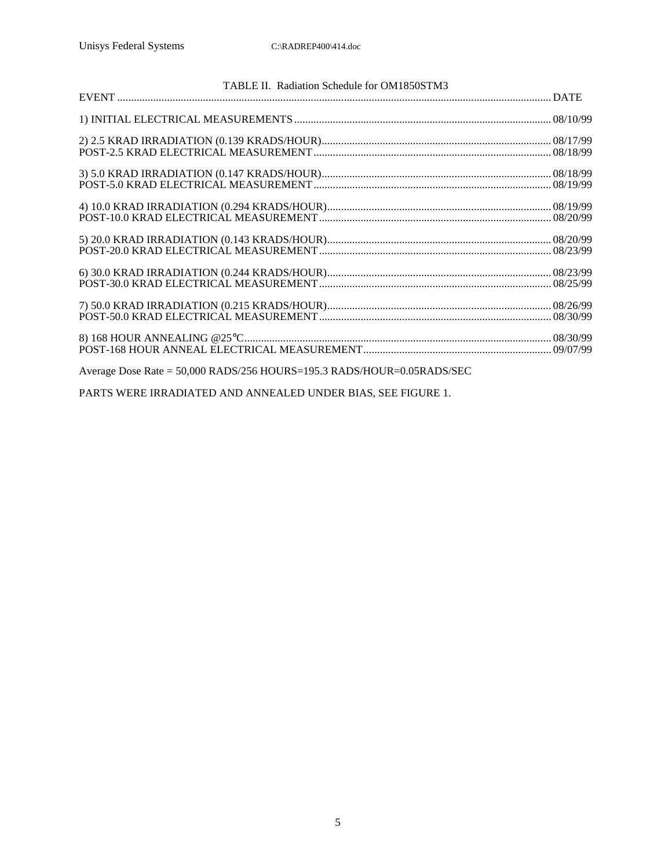| TABLE II. Radiation Schedule for OM1850STM3                            |  |
|------------------------------------------------------------------------|--|
|                                                                        |  |
|                                                                        |  |
|                                                                        |  |
|                                                                        |  |
|                                                                        |  |
|                                                                        |  |
|                                                                        |  |
|                                                                        |  |
|                                                                        |  |
|                                                                        |  |
|                                                                        |  |
|                                                                        |  |
|                                                                        |  |
|                                                                        |  |
|                                                                        |  |
|                                                                        |  |
| Average Dose Rate = 50,000 RADS/256 HOURS=195.3 RADS/HOUR=0.05RADS/SEC |  |

PARTS WERE IRRADIATED AND ANNEALED UNDER BIAS, SEE FIGURE 1.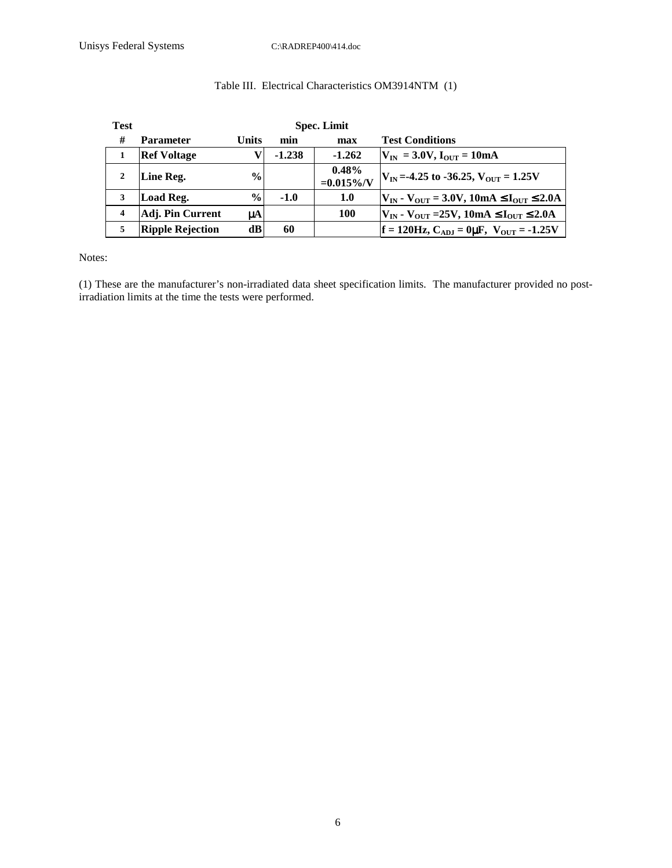### Table III. Electrical Characteristics OM3914NTM (1)

| <b>Test</b>             |                         |               | <b>Spec. Limit</b> |                           |                                                                       |
|-------------------------|-------------------------|---------------|--------------------|---------------------------|-----------------------------------------------------------------------|
| #                       | <b>Parameter</b>        | Units         | min                | max                       | <b>Test Conditions</b>                                                |
|                         | <b>Ref Voltage</b>      |               | $-1.238$           | $-1.262$                  | $V_{IN}$ = 3.0V, $I_{OUT}$ = 10mA                                     |
|                         | Line Reg.               | $\frac{6}{9}$ |                    | $0.48\%$<br>$=0.015\%$ /V | $V_{IN} = -4.25$ to $-36.25$ , $V_{OUT} = 1.25V$                      |
| 3                       | Load Reg.               | $\frac{6}{6}$ | $-1.0$             | 1.0                       | $V_{IN}$ - $V_{OUT}$ = 3.0V, 10mA $\leq$ I <sub>OUT</sub> $\leq$ 2.0A |
| $\overline{\mathbf{4}}$ | Adj. Pin Current        | μA            |                    | 100                       | $V_{IN}$ - $V_{OUT}$ =25V, 10mA $\leq$ I <sub>OUT</sub> $\leq$ 2.0A   |
| 5                       | <b>Ripple Rejection</b> | dВ            | 60                 |                           | $f = 120$ Hz, C <sub>ADJ</sub> = 0µF, V <sub>OUT</sub> = -1.25V       |

Notes:

(1) These are the manufacturer's non-irradiated data sheet specification limits. The manufacturer provided no postirradiation limits at the time the tests were performed.